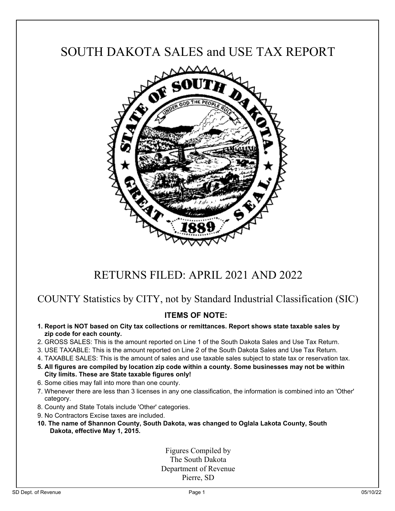## SOUTH DAKOTA SALES and USE TAX REPORT



# RETURNS FILED: APRIL 2021 AND 2022

### COUNTY Statistics by CITY, not by Standard Industrial Classification (SIC)

### **ITEMS OF NOTE:**

- **1. Report is NOT based on City tax collections or remittances. Report shows state taxable sales by zip code for each county.**
- 2. GROSS SALES: This is the amount reported on Line 1 of the South Dakota Sales and Use Tax Return.
- 3. USE TAXABLE: This is the amount reported on Line 2 of the South Dakota Sales and Use Tax Return.
- 4. TAXABLE SALES: This is the amount of sales and use taxable sales subject to state tax or reservation tax.
- **5. All figures are compiled by location zip code within a county. Some businesses may not be within City limits. These are State taxable figures only!**
- 6. Some cities may fall into more than one county.
- 7. Whenever there are less than 3 licenses in any one classification, the information is combined into an 'Other' category.
- 8. County and State Totals include 'Other' categories.
- 9. No Contractors Excise taxes are included.
- **10. The name of Shannon County, South Dakota, was changed to Oglala Lakota County, South Dakota, effective May 1, 2015.**

Figures Compiled by The South Dakota Department of Revenue Pierre, SD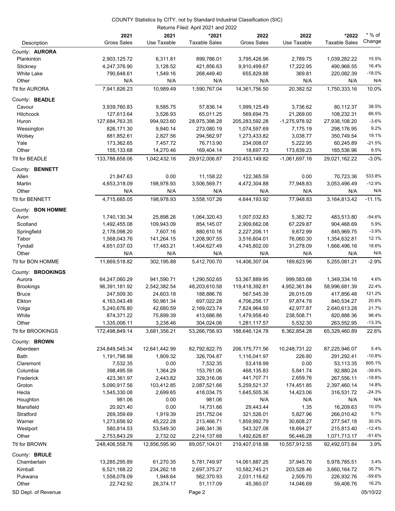|                           |                            |                       | Returns Filed: April 2021 and 2022 |                            |                        |                               |                    |  |  |  |  |
|---------------------------|----------------------------|-----------------------|------------------------------------|----------------------------|------------------------|-------------------------------|--------------------|--|--|--|--|
| Description               | 2021<br><b>Gross Sales</b> | 2021<br>Use Taxable   | *2021<br><b>Taxable Sales</b>      | 2022<br><b>Gross Sales</b> | 2022<br>Use Taxable    | *2022<br><b>Taxable Sales</b> | $*$ % of<br>Change |  |  |  |  |
| County: <b>AURORA</b>     |                            |                       |                                    |                            |                        |                               |                    |  |  |  |  |
| Plankinton                | 2,903,125.72               | 6,311.81              | 899,786.01                         | 3,795,426.96               | 2,789.75               | 1,039,282.22                  | 15.5%              |  |  |  |  |
| Stickney                  | 4,247,376.90               | 3,128.52              | 421,856.63                         | 9,910,499.67               | 17,222.95              | 490,968.55                    | 16.4%              |  |  |  |  |
| <b>White Lake</b>         | 790,648.61                 | 1,549.16              | 268,449.40                         | 655,829.88                 | 369.81                 | 220,082.39                    | $-18.0%$           |  |  |  |  |
| Other                     | N/A                        | N/A                   | N/A                                | N/A                        | N/A                    | N/A                           | N/A                |  |  |  |  |
| Ttl for AURORA            | 7.941.826.23               | 10,989.49             | 1.590.767.04                       | 14,361,756.50              | 20,382.52              | 1,750,333.16                  | 10.0%              |  |  |  |  |
| County: BEADLE            |                            |                       |                                    |                            |                        |                               |                    |  |  |  |  |
| Cavour                    | 3,939,760.83               | 9,585.75              | 57,836.14                          | 1,999,125.49               | 3,736.62               | 80,112.37                     | 38.5%              |  |  |  |  |
| <b>Hitchcock</b>          | 127,613.64                 | 3,526.93              | 65,011.25                          | 569,694.75                 | 21,269.00              | 108,232.31                    | 66.5%              |  |  |  |  |
| Huron                     | 127,684,763.35             | 994,923.60            | 28,975,398.28                      | 205,283,592.28             | -1,275,978.92          | 27,938,108.20                 | $-3.6%$            |  |  |  |  |
| Wessington                | 826,171.30                 | 9,840.14              | 273,080.19                         | 1,074,597.69               | 7,175.19               | 298,176.95                    | 9.2%               |  |  |  |  |
| Wolsey                    | 881,852.61                 | 2,827.56              | 294,562.97                         | 1,273,433.82               | 3,038.77               | 350,749.54                    | 19.1%<br>$-21.5%$  |  |  |  |  |
| Yale<br>Other             | 173,362.65                 | 7,457.72<br>14,270.46 | 76,713.90<br>169,404.14            | 234,008.07<br>18,697.73    | 5,222.95<br>173,839.23 | 60,245.89<br>185,536.96       | 9.5%               |  |  |  |  |
| Ttl for BEADLE            | 155,133.68                 |                       |                                    | 210,453,149.82             | $-1,061,697.16$        |                               | $-3.0%$            |  |  |  |  |
|                           | 133,788,658.06             | 1,042,432.16          | 29,912,006.87                      |                            |                        | 29,021,162.22                 |                    |  |  |  |  |
| County: BENNETT           |                            |                       |                                    |                            |                        |                               |                    |  |  |  |  |
| Allen<br>Martin           | 21,847.63<br>4,653,318.09  | 0.00                  | 11,158.22<br>3,506,569.71          | 122,365.59<br>4,472,304.88 | 0.00<br>77,948.83      | 70,723.36<br>3,053,496.49     | 533.8%<br>$-12.9%$ |  |  |  |  |
| Other                     | N/A                        | 198,978.93<br>N/A     | N/A                                | N/A                        | N/A                    | N/A                           | N/A                |  |  |  |  |
| Ttl for BENNETT           | 4,715,665.05               | 198,978.93            | 3,558,107.26                       | 4,644,193.92               | 77,948.83              | 3,164,813.42                  | $-11.1%$           |  |  |  |  |
|                           |                            |                       |                                    |                            |                        |                               |                    |  |  |  |  |
| County: BON HOMME<br>Avon | 1,740,130.34               | 25,898.26             | 1,064,320.43                       | 1,007,032.83               | 5,382.72               | 483,513.80                    | $-54.6%$           |  |  |  |  |
| Scotland                  | 1,492,455.08               | 109,943.09            | 854,145.07                         | 2,909,662.08               | 67,229.87              | 904,468.69                    | 5.9%               |  |  |  |  |
| Springfield               | 2,178,098.20               | 7,607.16              | 880,610.16                         | 2,227,206.11               | 9,672.99               | 845,969.75                    | $-3.9%$            |  |  |  |  |
| Tabor                     | 1,568,043.76               | 141,264.15            | 1,208,907.55                       | 3,516,604.01               | 76,060.30              | 1,354,632.81                  | 12.1%              |  |  |  |  |
| Tyndall                   | 4,651,037.03               | 17,483.21             | 1,404,627.49                       | 4,745,802.00               | 31,278.09              | 1,666,496.16                  | 18.6%              |  |  |  |  |
| Other                     | N/A                        | N/A                   | N/A                                | N/A                        | N/A                    | N/A                           | N/A                |  |  |  |  |
| Ttl for BON HOMME         | 11,669,518.82              | 302,195.88            | 5,412,700.70                       | 14,406,307.04              | 189,623.96             | 5,255,081.21                  | $-2.9%$            |  |  |  |  |
| County: BROOKINGS         |                            |                       |                                    |                            |                        |                               |                    |  |  |  |  |
| Aurora                    | 64,247,060.29              | 941,590.71            | 1,290,502.65                       | 53,367,889.95              | 999,583.68             | 1,349,334.16                  | 4.6%               |  |  |  |  |
| <b>Brookings</b>          | 96,391,181.92              | 2,542,382.54          | 48,203,610.58                      | 119,418,392.81             | 4,952,361.84           | 58,996,681.39                 | 22.4%              |  |  |  |  |
| <b>Bruce</b>              | 247,509.30                 | 24,603.18             | 188,886.76                         | 567,545.39                 | 26,015.09              | 417,856.48                    | 121.2%             |  |  |  |  |
| Elkton                    | 4,163,043.48               | 50,961.34             | 697,022.28                         | 4,706,256.17               | 97,874.78              | 840,534.27                    | 20.6%              |  |  |  |  |
| Volga                     | 5,240,676.80               | 42,680.59             | 2,169,023.74                       | 7,824,964.50               | 42,977.87              | 2,640,613.28                  | 21.7%              |  |  |  |  |
| White                     | 874,371.22                 | 75,899.39             | 413,686.86                         | 1,479,958.40               | 238,508.71             | 820,888.36                    | 98.4%              |  |  |  |  |
| Other                     | 1,335,006.11               | 3,238.46              | 304,024.06                         | 1,281,117.57               | 5,532.30               | 263,552.95                    | $-13.3%$           |  |  |  |  |
| Ttl for BROOKINGS         | 172,498,849.14             | 3,681,356.21          | 53,266,756.93                      | 188,646,124.78             | 6,362,854.28           | 65,329,460.89                 | 22.6%              |  |  |  |  |
| County: BROWN             |                            |                       |                                    |                            |                        |                               |                    |  |  |  |  |
| Aberdeen                  | 234,849,545.34             | 12,641,442.99         | 82,792,822.75                      | 206, 175, 771.56           | 10,248,731.22          | 87,225,946.07                 | 5.4%               |  |  |  |  |
| Bath                      | 1,191,798.98               | 1,809.32              | 326,704.87                         | 1,116,041.97               | 226.80                 | 291,292.41                    | $-10.8%$           |  |  |  |  |
| Claremont<br>Columbia     | 7,532.35                   | 0.00                  | 7,532.35                           | 53,418.99<br>468,135.83    | 0.00                   | 53,113.35                     | 605.1%<br>$-39.6%$ |  |  |  |  |
| Frederick                 | 398,495.59<br>423,361.97   | 1,364.29<br>2,443.82  | 153,761.06<br>329,316.06           | 441,707.71                 | 5,841.74<br>2,659.76   | 92,880.24<br>267,556.11       | $-18.8%$           |  |  |  |  |
| Groton                    | 5,090,917.56               | 103,412.85            | 2,087,521.66                       | 5,259,521.37               | 174,451.85             | 2,397,460.14                  | 14.8%              |  |  |  |  |
| Hecla                     | 1,545,330.08               | 2,699.65              | 418,034.75                         | 1,645,505.36               | 14,423.06              | 316,531.72                    | $-24.3%$           |  |  |  |  |
| Houghton                  | 981.06                     | 0.00                  | 981.06                             | N/A                        | N/A                    | N/A                           | N/A                |  |  |  |  |
| Mansfield                 | 20,921.40                  | 0.00                  | 14,731.66                          | 29,443.44                  | 1.35                   | 16,209.63                     | 10.0%              |  |  |  |  |
| Stratford                 | 269,359.69                 | 1,919.39              | 251,752.04                         | 321,526.01                 | 5,827.96               | 266,010.42                    | 5.7%               |  |  |  |  |
| Warner                    | 1,273,656.92               | 45,222.28             | 213,466.71                         | 1,859,992.79               | 30,608.27              | 277,547.18                    | 30.0%              |  |  |  |  |
| Westport                  | 580,814.53                 | 53,549.30             | 246,341.36                         | 543,327.08                 | 18,694.27              | 215,813.40                    | $-12.4%$           |  |  |  |  |
| Other                     | 2,753,843.29               | 2,732.02              | 2,214,137.68                       | 1,492,626.87               | 56,446.28              | 1,071,713.17                  | $-51.6%$           |  |  |  |  |
| Ttl for BROWN             | 248,406,558.76             | 12,856,595.90         | 89,057,104.01                      | 219,407,018.98             | 10,557,912.55          | 92,492,073.84                 | 3.9%               |  |  |  |  |
| County: BRULE             |                            |                       |                                    |                            |                        |                               |                    |  |  |  |  |
| Chamberlain               | 13,285,295.89              | 61,270.35             | 5,781,749.97                       | 14,061,887.25              | 37,945.76              | 5,978,785.51                  | 3.4%               |  |  |  |  |
| Kimball                   | 6,521,168.22               | 234,262.18            | 2,697,375.27                       | 10,582,745.21              | 203,528.46             | 3,660,164.72                  | 35.7%              |  |  |  |  |
| Pukwana                   | 1,558,078.09               | 1,948.64              | 562,370.93                         | 2,031,116.62               | 2,509.70               | 226,932.76                    | $-59.6%$           |  |  |  |  |
| Other                     | 22,742.92                  | 28,374.17             | 51,117.09                          | 45,360.07                  | 14,046.69              | 59,406.76                     | 16.2%              |  |  |  |  |
| SD Dept. of Revenue       |                            |                       | Page 2                             |                            |                        |                               | 05/10/22           |  |  |  |  |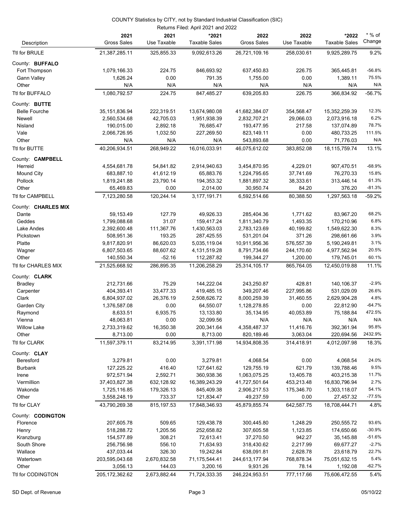|                         |                            |                     | Returns Filed: April 2021 and 2022 |                            |                     |                               |                    |
|-------------------------|----------------------------|---------------------|------------------------------------|----------------------------|---------------------|-------------------------------|--------------------|
| Description             | 2021<br><b>Gross Sales</b> | 2021<br>Use Taxable | *2021<br><b>Taxable Sales</b>      | 2022<br><b>Gross Sales</b> | 2022<br>Use Taxable | *2022<br><b>Taxable Sales</b> | $*$ % of<br>Change |
| Ttl for BRULE           | 21,387,285.11              | 325,855.33          | 9,092,613.26                       | 26,721,109.16              | 258,030.61          | 9,925,289.75                  | 9.2%               |
| County: BUFFALO         |                            |                     |                                    |                            |                     |                               |                    |
| Fort Thompson           | 1,079,166.33               | 224.75              | 846,693.92                         | 637,450.83                 | 226.75              | 365,445.81                    | $-56.8%$           |
| <b>Gann Valley</b>      | 1,626.24                   | 0.00                | 791.35                             | 1,755.00                   | 0.00                | 1,389.11                      | 75.5%              |
| Other                   | N/A                        | N/A                 | N/A                                | N/A                        | N/A                 | N/A                           | N/A                |
| Ttl for BUFFALO         | 1,080,792.57               | 224.75              | 847,485.27                         | 639,205.83                 | 226.75              | 366,834.92                    | $-56.7%$           |
| County: BUTTE           |                            |                     |                                    |                            |                     |                               |                    |
| <b>Belle Fourche</b>    | 35, 151, 836. 94           | 222,319.51          | 13,674,980.08                      | 41,682,384.07              | 354,568.47          | 15,352,259.39                 | 12.3%              |
| Newell                  | 2,560,534.68               | 42,705.03           | 1,951,938.39                       | 2,832,707.21               | 29,066.03           | 2,073,916.18                  | 6.2%               |
| Nisland                 | 190,015.00                 | 2,892.18            | 76,685.47                          | 193,477.95                 | 217.58              | 137,074.89                    | 78.7%              |
| Vale                    | 2,066,726.95               | 1,032.50            | 227,269.50                         | 823,149.11                 | 0.00                | 480,733.25                    | 111.5%             |
| Other                   | N/A                        | N/A                 | N/A                                | 543,893.68                 | 0.00                | 71,776.03                     | N/A                |
| Ttl for BUTTE           | 40,206,934.51              | 268,949.22          | 16,016,033.91                      | 46,075,612.02              | 383,852.08          | 18,115,759.74                 | 13.1%              |
| County: <b>CAMPBELL</b> |                            |                     |                                    |                            |                     |                               |                    |
| Herreid                 | 4,554,681.78               | 54,841.82           | 2,914,940.63                       | 3,454,870.95               | 4,229.01            | 907,470.51                    | $-68.9%$           |
| <b>Mound City</b>       | 683,887.10                 | 41,612.19           | 65,883.76                          | 1,224,795.65               | 37,741.69           | 76,270.33                     | 15.8%              |
| Pollock                 | 1,819,241.88               | 23,790.14           | 194,353.32                         | 1,881,897.32               | 38,333.61           | 313,446.14                    | 61.3%              |
| Other                   | 65,469.83                  | 0.00                | 2,014.00                           | 30,950.74                  | 84.20               | 376.20                        | $-81.3%$           |
| Ttl for CAMPBELL        | 7,123,280.58               | 120,244.14          | 3,177,191.71                       | 6,592,514.66               | 80,388.50           | 1,297,563.18                  | $-59.2%$           |
| County: CHARLES MIX     |                            |                     |                                    |                            |                     |                               |                    |
| Dante                   | 59,153.49                  | 127.79              | 49,926.33                          | 285,404.36                 | 1,771.62            | 83,967.20                     | 68.2%              |
| Geddes                  | 1,799,088.68               | 31.07               | 159,417.24                         | 1,811,340.79               | 1,493.35            | 170,210.96                    | 6.8%               |
| Lake Andes              | 2,392,600.48               | 111,367.76          | 1,430,563.03                       | 2,783,123.69               | 40,199.82           | 1,549,622.30                  | 8.3%               |
| Pickstown               | 508,951.36                 | 193.25              | 287,425.55                         | 531,201.04                 | 371.26              | 298,661.66                    | 3.9%               |
| Platte                  | 9,817,820.91               | 86,620.03           | 5,035,119.04                       | 10,911,956.36              | 576,557.39          | 5,190,249.81                  | 3.1%               |
| Wagner                  | 6,807,503.65               | 88,607.62           | 4,131,519.28                       | 8,791,734.66               | 244,170.60          | 4,977,562.94                  | 20.5%              |
| Other                   | 140,550.34                 | $-52.16$            | 112,287.82                         | 199,344.27                 | 1,200.00            | 179,745.01                    | 60.1%              |
| Ttl for CHARLES MIX     | 21,525,668.92              | 286,895.35          | 11,206,258.29                      | 25,314,105.17              | 865,764.05          | 12,450,019.88                 | 11.1%              |
| County: <b>CLARK</b>    |                            |                     |                                    |                            |                     |                               |                    |
| <b>Bradley</b>          | 212,731.66                 | 75.29               | 144,222.04                         | 243,250.87                 | 428.81              | 140,106.37                    | $-2.9%$            |
| Carpenter               | 404,393.41                 | 33,477.33           | 419,485.15                         | 349,207.46                 | 227,995.86          | 531,029.09                    | 26.6%              |
| Clark                   | 6,804,937.02               | 26,376.19           | 2,508,626.72                       | 8,000,259.39               | 31,460.55           | 2,629,904.28                  | 4.8%               |
| Garden City             | 1,376,587.08               | 0.00                | 64,550.07                          | 1,128,278.85               | 0.00                | 22,812.90                     | $-64.7%$           |
| Raymond                 | 8,633.51                   | 6,935.75            | 13,133.80                          | 35,134.95                  | 40,053.89           | 75,188.84                     | 472.5%             |
| Vienna                  | 48,063.81                  | 0.00                | 32,099.56                          | N/A                        | N/A                 | N/A                           | N/A                |
| <b>Willow Lake</b>      | 2,733,319.62               | 16,350.38           | 200,341.64                         | 4,358,487.37               | 11,416.76           | 392,361.94                    | 95.8%              |
| Other                   | 8,713.00                   | 0.00                | 8,713.00                           | 820,189.46                 | 3,063.04            | 220,694.56                    | 2432.9%            |
| Ttl for CLARK           | 11,597,379.11              | 83,214.95           | 3,391,171.98                       | 14,934,808.35              | 314,418.91          | 4,012,097.98                  | 18.3%              |
| County: CLAY            |                            |                     |                                    |                            |                     |                               |                    |
| Beresford               | 3,279.81                   | 0.00                | 3,279.81                           | 4,068.54                   | 0.00                | 4,068.54                      | 24.0%              |
| <b>Burbank</b>          | 127,225.22                 | 416.40              | 127,641.62                         | 129,755.19                 | 621.79              | 139,788.46                    | 9.5%               |
| Irene                   | 972,571.94                 | 2,592.71            | 360,938.36                         | 1,063,075.25               | 13,405.78           | 403,215.38                    | 11.7%              |
| Vermillion              | 37,403,827.38              | 632,128.92          | 16,389,243.29                      | 41,727,501.64              | 453,213.48          | 16,830,796.94                 | 2.7%               |
| Wakonda                 | 1,725,116.85               | 179,326.13          | 845,409.38                         | 2,906,217.53               | 175,346.70          | 1,303,118.07                  | 54.1%              |
| Other                   | 3,558,248.19               | 733.37              | 121,834.47                         | 49,237.59                  | 0.00                | 27,457.32                     | $-77.5%$           |
| Ttl for CLAY            | 43,790,269.38              | 815,197.53          | 17,848,346.93                      | 45,879,855.74              | 642,587.75          | 18,708,444.71                 | 4.8%               |
| County: CODINGTON       |                            |                     |                                    |                            |                     |                               |                    |
| Florence                | 207,605.78                 | 509.65              | 129,438.78                         | 300,445.80                 | 1,248.29            | 250,555.72                    | 93.6%              |
| Henry                   | 518,288.72                 | 1,205.56            | 252,658.82                         | 307,605.58                 | 1,123.85            | 174,650.66                    | $-30.9%$           |
| Kranzburg               | 154,577.89                 | 308.21              | 72,613.41                          | 37,270.50                  | 942.27              | 35,145.88                     | $-51.6%$           |
| South Shore             | 256,756.98                 | 556.10              | 71,634.93                          | 318,430.62                 | 2,217.99            | 69,677.27                     | $-2.7%$            |
| Wallace                 | 437,033.44                 | 326.30              | 19,242.84                          | 638,091.81                 | 2,628.78            | 23,618.79                     | 22.7%              |
| Watertown               | 203,595,043.68             | 2,670,832.58        | 71,175,544.41                      | 244,613,177.94             | 768,878.34          | 75,051,632.15                 | 5.4%               |
| Other                   | 3,056.13                   | 144.03              | 3,200.16                           | 9,931.26                   | 78.14               | 1,192.08                      | $-62.7%$           |
| Ttl for CODINGTON       | 205, 172, 362.62           | 2,673,882.44        | 71,724,333.35                      | 246,224,953.51             | 777,117.66          | 75,606,472.55                 | 5.4%               |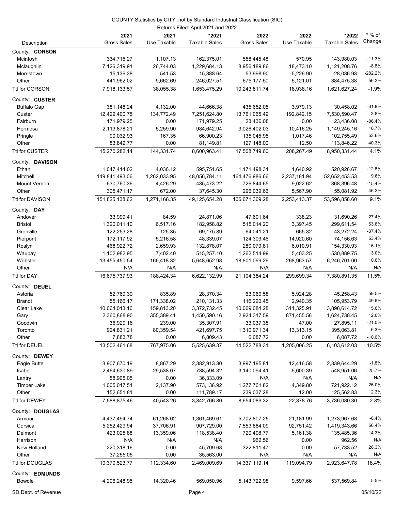| Returns Filed: April 2021 and 2022 |                    |              |                      |                    |              |                      |                   |  |
|------------------------------------|--------------------|--------------|----------------------|--------------------|--------------|----------------------|-------------------|--|
|                                    | 2021               | 2021         | *2021                | 2022               | 2022         | *2022                | $*$ % of          |  |
| Description                        | <b>Gross Sales</b> | Use Taxable  | <b>Taxable Sales</b> | <b>Gross Sales</b> | Use Taxable  | <b>Taxable Sales</b> | Change            |  |
| County: CORSON                     |                    |              |                      |                    |              |                      |                   |  |
| Mcintosh                           | 334,715.27         | 1,107.13     | 162,375.01           | 558,445.48         | 570.95       | 143,980.03           | $-11.3%$          |  |
| Mclaughlin                         | 7,126,319.91       | 26,744.03    | 1,229,684.13         | 8,956,189.86       | 18,473.10    | 1,121,208.76         | $-8.8%$           |  |
| Morristown                         | 15,136.38          | 541.53       | 15,388.64            | 53,998.90          | $-5,226.90$  | $-28,036.93$         | $-282.2%$         |  |
| Other                              | 441,962.02         | 9,662.69     | 246,027.51           | 675,177.50         | 5,121.01     | 384,475.38           | 56.3%             |  |
| Ttl for CORSON                     |                    |              |                      |                    | 18,938.16    |                      | $-1.9%$           |  |
|                                    | 7,918,133.57       | 38,055.38    | 1,653,475.29         | 10,243,811.74      |              | 1,621,627.24         |                   |  |
| County: CUSTER                     |                    |              |                      |                    |              |                      |                   |  |
| <b>Buffalo Gap</b>                 | 381,148.24         | 4,132.00     | 44,666.38            | 435,652.05         | 3,979.13     | 30,458.02            | $-31.8%$          |  |
| Custer                             | 12,429,400.75      | 134,772.49   | 7,251,624.80         | 13,761,065.49      | 192,842.15   | 7,530,590.47         | 3.8%              |  |
| Fairburn                           | 171,979.25         | 0.00         | 171,979.25           | 23,436.08          | 0.00         | 23,436.08            | $-86.4%$          |  |
| Hermosa                            | 2,113,878.21       | 5,259.90     | 984,642.94           | 3,026,402.03       | 10,416.25    | 1,149,245.16         | 16.7%             |  |
| Pringle                            | 90,032.93          | 167.35       | 66,900.23            | 135,045.95         | 1,017.46     | 102,755.49           | 53.6%             |  |
| Other                              | 83,842.77          | 0.00         | 81,149.81            | 127,148.00         | 12.50        | 113,846.22           | 40.3%             |  |
| Ttl for CUSTER                     | 15,270,282.14      | 144,331.74   | 8,600,963.41         | 17,508,749.60      | 208,267.49   | 8,950,331.44         | 4.1%              |  |
| County: DAVISON                    |                    |              |                      |                    |              |                      |                   |  |
| Ethan                              | 1,047,414.02       | 4,036.12     | 595,751.65           | 1,171,498.31       | 1,640.92     | 520,926.67           | $-12.6%$          |  |
| Mitchell                           | 149,841,493.06     | 1,262,033.95 | 48,056,784.11        | 164,476,986.66     | 2,237,181.94 | 52,652,453.53        | 9.6%              |  |
| Mount Vernon                       | 630,760.36         | 4,426.29     | 435,473.22           | 726,844.65         | 9,022.62     | 368,396.48           | $-15.4%$          |  |
| Other                              | 305,471.17         | 672.00       | 37,645.30            | 296,039.66         | 5,567.90     | 55,081.92            | 46.3%             |  |
| Ttl for DAVISON                    | 151,825,138.62     | 1,271,168.35 | 49,125,654.28        | 166,671,369.28     | 2,253,413.37 | 53,596,858.60        | 9.1%              |  |
|                                    |                    |              |                      |                    |              |                      |                   |  |
| County: DAY                        |                    |              |                      |                    |              |                      |                   |  |
| Andover                            | 33,999.41          | 84.59        | 24,871.06            | 47,601.64          | 338.23       | 31,690.26            | 27.4%             |  |
| <b>Bristol</b>                     | 1,320,011.10       | 6,517.16     | 182,958.82           | 515,014.20         | 3,397.45     | 299,611.54           | 63.8%<br>$-37.4%$ |  |
| Grenville                          | 122,253.28         | 125.35       | 69,175.89            | 64,041.21          | 665.32       | 43,272.24            | 53.4%             |  |
| Pierpont                           | 172,117.92         | 5,216.58     | 48,339.07            | 124,303.46         | 14,920.60    | 74,156.63            | 16.1%             |  |
| Roslyn                             | 468,922.72         | 2,659.93     | 132,878.07           | 280,079.81         | 6,010.91     | 154,330.93           | 3.0%              |  |
| Waubay<br>Webster                  | 1,102,982.95       | 7,402.40     | 515,257.10           | 1,262,514.99       | 5,403.25     | 530,889.75           | 10.6%             |  |
|                                    | 13,455,450.54      | 166,418.32   | 5,648,652.98         | 18,801,099.26      | 268,963.57   | 6,246,701.00         | N/A               |  |
| Other                              | N/A                | N/A          | N/A<br>6.622.132.99  | N/A                | N/A          | N/A                  |                   |  |
| Ttl for DAY                        | 16,675,737.93      | 188,424.34   |                      | 21,104,384.24      | 299,699.34   | 7,380,891.35         | 11.5%             |  |
| County: DEUEL                      |                    |              |                      |                    |              |                      |                   |  |
| Astoria                            | 52,769.30          | 835.89       | 28,370.34            | 63,069.58          | 5,924.28     | 45,258.43            | 59.5%             |  |
| <b>Brandt</b>                      | 55,166.17          | 171,338.02   | 210,131.33           | 116,220.45         | 2,940.35     | 105,953.79           | $-49.6%$          |  |
| Clear Lake                         | 10,064,013.16      | 159,813.20   | 3,372,732.45         | 10,069,084.28      | 311,325.91   | 3,898,614.72         | 15.6%             |  |
| Gary                               | 2,360,868.90       | 355,389.41   | 1,450,590.16         | 2,924,317.59       | 871,455.56   | 1,624,738.45         | 12.0%             |  |
| Goodwin                            | 36,929.16          | 239.00       | 35,307.91            | 33,037.35          | 47.00        | 27,895.11            | $-21.0%$          |  |
| Toronto                            | 924,831.21         | 80,359.54    | 421,697.75           | 1,310,971.34       | 13,313.15    | 395,063.81           | $-6.3%$           |  |
| Other                              | 7,883.78           | 0.00         | 6,809.43             | 6,087.72           | 0.00         | 6,087.72             | $-10.6%$          |  |
| Ttl for DEUEL                      | 13,502,461.68      | 767,975.06   | 5,525,639.37         | 14,522,788.31      | 1,205,006.25 | 6,103,612.03         | 10.5%             |  |
| County: DEWEY                      |                    |              |                      |                    |              |                      |                   |  |
| Eagle Butte                        | 3,907,670.19       | 8,867.29     | 2,382,913.30         | 3,997,195.81       | 12,416.58    | 2,339,644.29         | $-1.8%$           |  |
| Isabel                             | 2,464,630.89       | 29,538.07    | 738,594.32           | 3,140,094.41       | 5,600.39     | 548,951.06           | $-25.7%$          |  |
| Lantry                             | 58,905.05          | 0.00         | 36,333.09            | N/A                | N/A          | N/A                  | N/A               |  |
| <b>Timber Lake</b>                 | 1,005,017.51       | 2,137.90     | 573,136.92           | 1,277,761.82       | 4,349.80     | 721,922.12           | 26.0%             |  |
| Other                              | 152,651.81         | 0.00         | 111,789.17           | 239,037.28         | 12.00        | 125,562.83           | 12.3%             |  |
| Ttl for DEWEY                      | 7,588,875.46       | 40,543.26    | 3,842,766.80         | 8,654,089.32       | 22,378.76    | 3,736,080.30         | $-2.8%$           |  |
|                                    |                    |              |                      |                    |              |                      |                   |  |
| County: DOUGLAS                    |                    |              |                      |                    |              |                      |                   |  |
| Armour                             | 4,437,494.74       | 61,268.62    | 1,361,469.61         | 5,702,807.25       | 21,181.99    | 1,273,967.68         | $-6.4%$           |  |
| Corsica                            | 5,252,429.94       | 37,706.91    | 907,729.00           | 7,553,884.09       | 92,751.42    | 1,419,343.66         | 56.4%             |  |
| Delmont                            | 423,025.88         | 13,359.06    | 118,538.40           | 720,498.77         | 5,161.38     | 135,485.36           | 14.3%             |  |
| Harrison                           | N/A                | N/A          | N/A                  | 962.56             | 0.00         | 962.56               | N/A               |  |
| New Holland                        | 220,318.16         | 0.00         | 45,709.68            | 322,811.47         | 0.00         | 57,733.52            | 26.3%             |  |
| Other                              | 37,255.05          | 0.00         | 35,563.00            | N/A                | N/A          | N/A                  | N/A               |  |
| Ttl for DOUGLAS                    | 10,370,523.77      | 112,334.60   | 2,469,009.69         | 14,337,119.14      | 119,094.79   | 2,923,647.78         | 18.4%             |  |
| County: <b>EDMUNDS</b>             |                    |              |                      |                    |              |                      |                   |  |
| Bowdle                             | 4,296,248.95       | 14,320.46    | 569,050.96           | 5, 143, 722. 98    | 9,597.66     | 537,569.84           | $-5.5%$           |  |
|                                    |                    |              |                      |                    |              |                      |                   |  |

SD Dept. of Revenue **Page 4** 05/10/22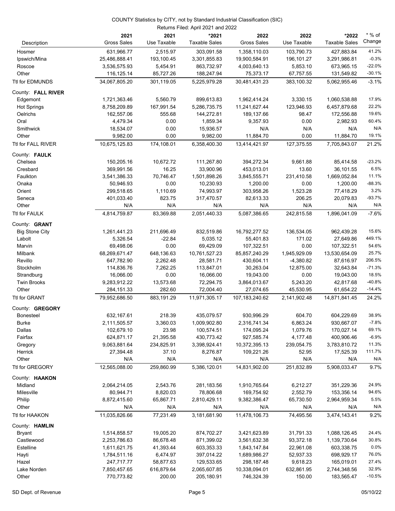#### Returns Filed: April 2021 and 2022 COUNTY Statistics by CITY, not by Standard Industrial Classification (SIC)

|                       | 2021<br><b>Gross Sales</b> | 2021<br>Use Taxable | *2021<br><b>Taxable Sales</b> | 2022<br><b>Gross Sales</b> | 2022<br>Use Taxable | *2022<br><b>Taxable Sales</b> | * % of<br>Change     |
|-----------------------|----------------------------|---------------------|-------------------------------|----------------------------|---------------------|-------------------------------|----------------------|
| Description           |                            |                     |                               |                            |                     |                               |                      |
| Hosmer                | 631,966.77                 | 2,515.97            | 303,091.58                    | 1,358,110.03               | 103,790.73          | 427,883.84                    | 41.2%                |
| Ipswich/Mina          | 25,486,888.41              | 193,100.45          | 3,301,855.83                  | 19,900,584.91              | 196,101.27          | 3,291,986.81                  | $-0.3%$              |
| Roscoe                | 3,536,575.93               | 5,454.91            | 863,732.97                    | 4,003,640.13               | 5,853.10            | 673,965.15                    | $-22.0%$<br>$-30.1%$ |
| Other                 | 116,125.14                 | 85,727.26           | 188,247.94                    | 75,373.17                  | 67,757.55           | 131,549.82                    |                      |
| Ttl for EDMUNDS       | 34,067,805.20              | 301,119.05          | 5,225,979.28                  | 30,481,431.23              | 383,100.32          | 5,062,955.46                  | $-3.1%$              |
| County: FALL RIVER    |                            |                     |                               |                            |                     |                               |                      |
| Edgemont              | 1,721,363.46               | 5,560.79            | 899,613.83                    | 1,962,414.24               | 3,330.15            | 1,060,538.88                  | 17.9%                |
| <b>Hot Springs</b>    | 8,758,209.89               | 167,991.54          | 5,286,735.75                  | 11,241,627.44              | 123,946.93          | 6,457,879.68                  | 22.2%                |
| Oelrichs              | 162,557.06                 | 555.68              | 144,272.81                    | 189,137.66                 | 98.47               | 172,556.88                    | 19.6%                |
| Oral                  | 4,479.34                   | 0.00                | 1,859.34                      | 9,357.93                   | 0.00                | 2,982.93                      | 60.4%                |
| Smithwick             | 18,534.07                  | 0.00                | 15,936.57                     | N/A                        | N/A                 | N/A                           | N/A                  |
| Other                 | 9,982.00                   | 0.00                | 9,982.00                      | 11,884.70                  | 0.00                | 11,884.70                     | 19.1%                |
| Ttl for FALL RIVER    | 10,675,125.83              | 174,108.01          | 6,358,400.30                  | 13,414,421.97              | 127,375.55          | 7,705,843.07                  | 21.2%                |
| County: FAULK         |                            |                     |                               |                            |                     |                               |                      |
| Chelsea               | 150,205.16                 | 10,672.72           | 111,267.80                    | 394,272.34                 | 9,661.88            | 85,414.58                     | $-23.2%$             |
| Cresbard              | 369,991.56                 | 16.25               | 33,900.96                     | 453,013.01                 | 13.60               | 36,101.55                     | 6.5%                 |
| Faulkton              | 3,541,386.33               | 70,746.47           | 1,501,898.26                  | 3,845,555.71               | 231,410.58          | 1,669,052.84                  | 11.1%                |
| Onaka                 | 50,946.93                  | 0.00                | 10,230.93                     | 1,200.00                   | 0.00                | 1,200.00                      | $-88.3%$             |
| Orient                | 299,518.65                 | 1,110.69            | 74,993.97                     | 303,958.26                 | 1,523.28            | 77,418.29                     | 3.2%                 |
| Seneca                | 401,033.40                 | 823.75              | 317,470.57                    | 82,613.33                  | 206.25              | 20,079.83                     | $-93.7%$             |
| Other                 | N/A                        | N/A                 | N/A                           | N/A                        | N/A                 | N/A                           | N/A                  |
| Ttl for FAULK         | 4,814,759.87               | 83,369.88           | 2,051,440.33                  | 5,087,386.65               | 242,815.58          | 1,896,041.09                  | $-7.6%$              |
| County: <b>GRANT</b>  |                            |                     |                               |                            |                     |                               |                      |
| <b>Big Stone City</b> | 1,261,441.23               | 211,696.49          | 832,519.86                    | 16,792,277.52              | 136,534.05          | 962,439.28                    | 15.6%                |
| Labolt                | 5,326.54                   | $-22.84$            | 5,035.12                      | 55,401.83                  | 171.02              | 27,649.86                     | 449.1%               |
| Marvin                | 69,498.06                  | 0.00                | 69,429.09                     | 107,322.51                 | 0.00                | 107,322.51                    | 54.6%                |
| Milbank               | 68,269,671.47              | 648,136.63          | 10,761,527.23                 | 85,857,240.29              | 1,945,929.09        | 13,530,654.09                 | 25.7%                |
| Revillo               | 647,782.90                 | 2,262.48            | 28,581.71                     | 430,604.11                 | $-4,380.82$         | 87,616.97                     | 206.5%               |
| Stockholm             | 114,836.76                 | 7,262.25            | 113,847.01                    | 30,263.04                  | 12,875.00           | 32,643.84                     | $-71.3%$             |
| Strandburg            | 16,066.00                  | 0.00                | 16,066.00                     | 19,043.00                  | 0.00                | 19,043.00                     | 18.5%                |
| <b>Twin Brooks</b>    | 9,283,912.22               | 13,573.68           | 72,294.75                     | 3,864,013.67               | 5,243.20            | 42,817.68                     | $-40.8%$             |
| Other                 | 284, 151. 33               | 282.60              | 72,004.40                     | 27,074.65                  | 45,530.95           | 61,654.22                     | $-14.4%$             |
| Ttl for GRANT         | 79,952,686.50              | 883,191.29          | 11,971,305.17                 | 107,183,240.62             | 2,141,902.48        | 14,871,841.45                 | 24.2%                |
| County: GREGORY       |                            |                     |                               |                            |                     |                               |                      |
| <b>Bonesteel</b>      | 632,167.61                 | 218.39              | 435,079.57                    | 930,996.29                 | 604.70              | 604,229.69                    | 38.9%                |
| Burke                 | 2,111,505.57               | 3,360.03            | 1,009,902.80                  | 2,316,741.34               | 6,863.24            | 930,667.07                    | $-7.8%$              |
| Dallas                | 102,679.10                 | 23.98               | 100,574.51                    | 174,095.24                 | 1,079.76            | 170,027.14                    | 69.1%                |
| Fairfax               | 624,871.17                 | 21,395.58           | 430,773.42                    | 927,585.74                 | 4,177.48            | 400,906.46                    | $-6.9%$              |
| Gregory               | 9,063,881.64               | 234,825.91          | 3,398,924.41                  | 10,372,395.13              | 239,054.75          | 3,783,810.72                  | 11.3%                |
| Herrick               | 27,394.48                  | 37.10               | 8,276.87                      | 109,221.26                 | 52.95               | 17,525.39                     | 111.7%               |
| Other                 | N/A                        | N/A                 | N/A                           | N/A                        | N/A                 | N/A                           | N/A                  |
| Ttl for GREGORY       | 12,565,088.00              | 259,860.99          | 5,386,120.01                  | 14,831,902.00              | 251,832.89          | 5,908,033.47                  | 9.7%                 |
| County: HAAKON        |                            |                     |                               |                            |                     |                               |                      |
| Midland               | 2,064,214.05               | 2,543.76            | 281,183.56                    | 1,910,765.64               | 6,212.27            | 351,229.36                    | 24.9%                |
| Milesville            | 80,944.71                  | 8,820.03            | 78,806.68                     | 169,754.92                 | 2,552.79            | 153,356.14                    | 94.6%                |
| Philip                | 8,872,415.60               | 65,867.71           | 2,810,429.11                  | 9,382,386.47               | 65,730.50           | 2,964,959.34                  | 5.5%                 |
| Other                 | N/A                        | N/A                 | N/A                           | N/A                        | N/A                 | N/A                           | N/A                  |
| Ttl for HAAKON        | 11,035,826.66              | 77,231.49           | 3,181,681.90                  | 11,478,106.73              | 74,495.56           | 3,474,143.41                  | 9.2%                 |
| County: HAMLIN        |                            |                     |                               |                            |                     |                               |                      |
| <b>Bryant</b>         | 1,514,858.57               | 19,005.20           | 874,702.27                    | 3,421,623.89               | 31,791.33           | 1,088,126.45                  | 24.4%                |
| Castlewood            | 2,253,786.63               | 86,678.48           | 871,399.02                    | 3,561,632.38               | 93,372.18           | 1,139,730.64                  | 30.8%                |
| Estelline             | 1,611,621.75               | 41,393.44           | 603,353.33                    | 1,843,147.84               | 22,961.08           | 603,338.75                    | 0.0%                 |
| Hayti                 | 1,784,511.16               | 6,474.97            | 397,014.22                    | 1,689,986.27               | 52,937.33           | 698,929.17                    | 76.0%                |
| Hazel                 | 247,717.77                 | 58,877.63           | 129,533.65                    | 298,187.48                 | 9,618.23            | 165,019.01                    | 27.4%                |
| Lake Norden           | 7,850,457.65               | 616,879.64          | 2,065,607.85                  | 10,338,094.01              | 632,861.95          | 2,744,348.56                  | 32.9%                |
| Other                 | 770,773.82                 | 200.00              | 205,180.91                    | 746,324.39                 | 150.00              | 183,565.47                    | $-10.5%$             |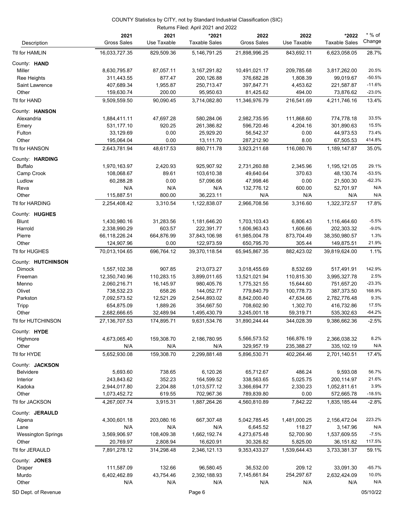|                           |                            |                     | Returns Filed: April 2021 and 2022 |                            |                     |                               |                    |
|---------------------------|----------------------------|---------------------|------------------------------------|----------------------------|---------------------|-------------------------------|--------------------|
| Description               | 2021<br><b>Gross Sales</b> | 2021<br>Use Taxable | *2021<br><b>Taxable Sales</b>      | 2022<br><b>Gross Sales</b> | 2022<br>Use Taxable | *2022<br><b>Taxable Sales</b> | $*$ % of<br>Change |
| Ttl for HAMLIN            | 16,033,727.35              | 829,509.36          | 5,146,791.25                       | 21,898,996.25              | 843,692.11          | 6,623,058.05                  | 28.7%              |
| County: HAND              |                            |                     |                                    |                            |                     |                               |                    |
| Miller                    | 8,630,795.87               | 87,057.11           | 3, 167, 291.82                     | 10,491,021.17              | 209,785.68          | 3,817,262.00                  | 20.5%              |
| Ree Heights               | 311,443.55                 | 877.47              | 200,126.88                         | 376,682.28                 | 1,808.39            | 99,019.67                     | $-50.5%$           |
| Saint Lawrence            | 407,689.34                 | 1,955.87            | 250,713.47                         | 397,847.71                 | 4,453.62            | 221,587.87                    | $-11.6%$           |
| Other                     | 159,630.74                 | 200.00              | 95,950.63                          | 81,425.62                  | 494.00              | 73,876.62                     | $-23.0%$           |
| Ttl for HAND              | 9,509,559.50               | 90.090.45           | 3,714,082.80                       | 11,346,976.79              | 216,541.69          | 4,211,746.16                  | 13.4%              |
| County: HANSON            |                            |                     |                                    |                            |                     |                               |                    |
| Alexandria                | 1,884,411.11               | 47,697.28           | 580,284.06                         | 2,982,735.95               | 111,868.60          | 774,778.18                    | 33.5%              |
| Emery                     | 531,177.10                 | 920.25              | 261,386.82                         | 596,720.46                 | 4,204.16            | 301,890.63                    | 15.5%              |
| Fulton                    | 33,129.69                  | 0.00                | 25,929.20                          | 56,542.37                  | 0.00                | 44,973.53                     | 73.4%              |
| Other                     | 195,064.04                 | 0.00                | 13,111.70                          | 287,212.90                 | 8.00                | 67,505.53                     | 414.8%             |
| Ttl for HANSON            | 2,643,781.94               | 48,617.53           | 880,711.78                         | 3,923,211.68               | 116,080.76          | 1,189,147.87                  | 35.0%              |
| County: HARDING           |                            |                     |                                    |                            |                     |                               |                    |
| <b>Buffalo</b>            | 1,970,163.97               | 2,420.93            | 925,907.92                         | 2,731,260.88               | 2,345.96            | 1,195,121.05                  | 29.1%              |
| Camp Crook                | 108,068.67                 | 89.61               | 103,610.38                         | 49,640.64                  | 370.63              | 48,130.74                     | $-53.5%$           |
| Ludlow                    | 60,288.28                  | 0.00                | 57,096.66                          | 47,998.46                  | 0.00                | 21,500.30                     | $-62.3%$           |
| Reva                      | N/A                        | N/A                 | N/A                                | 132,776.12                 | 600.00              | 52,701.97                     | N/A                |
| Other                     | 115,887.51                 | 800.00              | 36,223.11                          | N/A                        | N/A                 | N/A                           | N/A                |
| Ttl for HARDING           | 2,254,408.42               | 3,310.54            | 1,122,838.07                       | 2,966,708.56               | 3,316.60            | 1,322,372.57                  | 17.8%              |
| County: HUGHES            |                            |                     |                                    |                            |                     |                               |                    |
| <b>Blunt</b>              | 1,430,980.16               | 31,283.56           | 1,181,646.20                       | 1,703,103.43               | 6,806.43            | 1,116,464.60                  | $-5.5%$            |
| Harrold                   | 2,338,990.29               | 603.57              | 222,391.77                         | 1,606,963.43               | 1,606.66            | 202,303.32                    | $-9.0%$            |
| Pierre                    | 66,118,226.24              | 664,876.99          | 37,843,106.98                      | 61,985,004.78              | 873,704.49          | 38,350,980.57                 | 1.3%               |
| Other                     | 124,907.96                 | 0.00                | 122,973.59                         | 650,795.70                 | 305.44              | 149,875.51                    | 21.9%              |
| Ttl for HUGHES            | 70,013,104.65              | 696,764.12          | 39,370,118.54                      | 65,945,867.35              | 882,423.02          | 39,819,624.00                 | 1.1%               |
| County: HUTCHINSON        |                            |                     |                                    |                            |                     |                               |                    |
| <b>Dimock</b>             | 1,557,102.38               | 907.85              | 213,073.27                         | 3,018,455.69               | 8,532.69            | 517,491.91                    | 142.9%             |
| Freeman                   | 12,350,740.96              | 110,283.15          | 3,899,011.65                       | 13,521,021.94              | 110,815.30          | 3,995,327.78                  | 2.5%               |
| Menno                     | 2,060,216.71               | 16,145.97           | 980,405.76                         | 1,775,321.55               | 15,644.60           | 751,657.20                    | $-23.3%$           |
| Olivet                    | 738,532.23                 | 658.26              | 144,052.77                         | 779,840.79                 | 100,778.73          | 387,373.50                    | 168.9%             |
| Parkston                  | 7,092,573.52               | 12,521.29           | 2,544,893.02                       | 8,842,000.40               | 47,634.66           | 2,782,776.48                  | 9.3%               |
| Tripp                     | 654,875.09                 | 1,889.26            | 354,667.50                         | 708,602.90                 | 1,302.70            | 416,732.86                    | 17.5%              |
| Other                     | 2,682,666.65               | 32,489.94           | 1,495,430.79                       | 3,245,001.18               | 59,319.71           | 535,302.63                    | $-64.2%$           |
| Ttl for HUTCHINSON        | 27,136,707.53              | 174,895.71          | 9,631,534.76                       | 31,890,244.44              | 344,028.39          | 9,386,662.36                  | $-2.5%$            |
| County: HYDE              |                            |                     |                                    |                            |                     |                               |                    |
| Highmore                  | 4,673,065.40               | 159,308.70          | 2,186,780.95                       | 5,566,573.52               | 166,876.19          | 2,366,038.32                  | 8.2%               |
| Other                     | N/A                        | N/A                 | N/A                                | 329,957.19                 | 235,388.27          | 335,102.19                    | N/A                |
| Ttl for HYDE              | 5,652,930.08               | 159,308.70          | 2,299,881.48                       | 5,896,530.71               | 402,264.46          | 2,701,140.51                  | 17.4%              |
| County: JACKSON           |                            |                     |                                    |                            |                     |                               |                    |
| Belvidere                 | 5,693.60                   | 738.65              | 6,120.26                           | 65,712.67                  | 486.24              | 9,593.08                      | 56.7%              |
| Interior                  | 243,843.62                 | 352.23              | 164,599.52                         | 338,563.65                 | 5,025.75            | 200,114.97                    | 21.6%              |
| Kadoka                    | 2,944,017.80               | 2,204.88            | 1,013,577.12                       | 3,366,694.77               | 2,330.23            | 1,052,811.61                  | 3.9%               |
| Other                     | 1,073,452.72               | 619.55              | 702,967.36                         | 789,839.80                 | 0.00                | 572,665.78                    | $-18.5%$           |
| Ttl for JACKSON           | 4,267,007.74               | 3,915.31            | 1,887,264.26                       | 4,560,810.89               | 7,842.22            | 1,835,185.44                  | $-2.8%$            |
| County: JERAULD           |                            |                     |                                    |                            |                     |                               |                    |
| Alpena                    | 4,300,601.18               | 203,080.16          | 667,307.48                         | 5,042,785.45               | 1,481,000.25        | 2,156,472.04                  | 223.2%             |
| Lane                      | N/A                        | N/A                 | N/A                                | 6,645.52                   | 118.27              | 3,147.96                      | N/A                |
| <b>Wessington Springs</b> | 3,569,906.97               | 108,409.38          | 1,662,192.74                       | 4,273,675.48               | 52,700.90           | 1,537,609.55                  | $-7.5%$            |
| Other                     | 20,769.97                  | 2,808.94            | 16,620.91                          | 30,326.82                  | 5,825.00            | 36,151.82                     | 117.5%             |
| Ttl for JERAULD           | 7,891,278.12               | 314,298.48          | 2,346,121.13                       | 9,353,433.27               | 1,539,644.43        | 3,733,381.37                  | 59.1%              |
| County: JONES             |                            |                     |                                    |                            |                     |                               |                    |
| Draper                    | 111,587.09                 | 132.66              | 96,580.45                          | 36,532.00                  | 209.12              | 33,091.30                     | -65.7%             |
| Murdo                     | 6,402,462.89               | 43,754.46           | 2,392,188.93                       | 7,145,661.84               | 254,297.67          | 2,632,424.09                  | 10.0%              |
| Other                     | N/A                        | N/A                 | N/A                                | N/A                        | N/A                 | N/A                           | N/A                |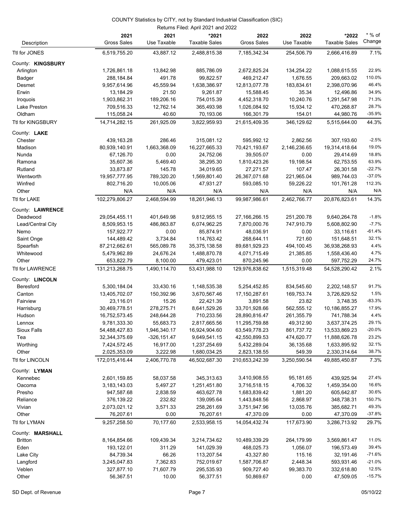|                         |                            |                     | Returns Filed: April 2021 and 2022 |                            |                     |                               |                    |
|-------------------------|----------------------------|---------------------|------------------------------------|----------------------------|---------------------|-------------------------------|--------------------|
| Description             | 2021<br><b>Gross Sales</b> | 2021<br>Use Taxable | *2021<br><b>Taxable Sales</b>      | 2022<br><b>Gross Sales</b> | 2022<br>Use Taxable | *2022<br><b>Taxable Sales</b> | $*$ % of<br>Change |
| Ttl for JONES           | 6,519,755.20               | 43,887.12           | 2,488,815.38                       | 7,185,342.34               | 254,506.79          | 2,666,416.89                  | 7.1%               |
| County: KINGSBURY       |                            |                     |                                    |                            |                     |                               |                    |
| Arlington               | 1,726,861.18               | 13,842.98           | 885,786.09                         | 2,672,825.24               | 134,254.22          | 1,088,615.55                  | 22.9%              |
| Badger                  | 288,184.84                 | 491.78              | 99,822.57                          | 469,212.47                 | 1,676.55            | 209,663.02                    | 110.0%             |
| Desmet                  | 9,957,614.96               | 45,559.94           | 1,638,386.97                       | 12,813,077.78              | 183,834.61          | 2,398,070.96                  | 46.4%              |
| Erwin                   | 13,184.29                  | 21.50               | 9,261.87                           | 15,588.45                  | 35.34               | 12,496.86                     | 34.9%              |
| Iroquois                | 1,903,862.31               | 189,206.16          | 754,015.39                         | 4,452,318.70               | 10,240.76           | 1,291,547.98                  | 71.3%              |
| Lake Preston            | 709,516.33                 | 12,762.14           | 365,493.98                         | 1,026,084.92               | 15,934.12           | 470,268.87                    | 28.7%              |
| Oldham                  | 115,058.24                 | 40.60               | 70,193.06                          | 166,301.79                 | 154.01              | 44,980.76                     | $-35.9%$           |
| Ttl for KINGSBURY       | 14,714,282.15              | 261,925.09          | 3,822,959.93                       | 21,615,409.35              | 346,129.62          | 5,515,644.00                  | 44.3%              |
|                         |                            |                     |                                    |                            |                     |                               |                    |
| County: LAKE<br>Chester | 439,163.28                 | 286.46              | 315,081.12                         | 595,992.12                 | 2,862.56            | 307,193.60                    | $-2.5%$            |
| Madison                 | 80,939,140.91              | 1,663,368.09        | 16,227,665.33                      | 70,421,193.67              | 2,146,236.65        | 19,314,418.64                 | 19.0%              |
| Nunda                   | 67,126.70                  | 0.00                | 24,752.06                          | 39,505.07                  | 0.00                | 29,414.69                     | 18.8%              |
| Ramona                  | 35,607.36                  |                     | 38,295.30                          | 1,810,423.26               | 19,198.54           | 62,753.55                     | 63.9%              |
| Rutland                 | 33,873.87                  | 5,469.40<br>145.78  | 34,019.65                          | 27,271.57                  | 107.47              | 26,301.58                     | $-22.7%$           |
| Wentworth               | 19,957,777.95              | 789,320.20          | 1,569,801.40                       | 26,367,071.68              | 221,965.04          | 989,744.03                    | $-37.0%$           |
| Winfred                 | 802,716.20                 | 10,005.06           | 47,931.27                          | 593,085.10                 | 59,226.22           | 101,761.28                    | 112.3%             |
|                         | N/A                        |                     |                                    |                            | N/A                 |                               | N/A                |
| Other<br>Ttl for LAKE   | 102,279,806.27             | N/A<br>2,468,594.99 | N/A<br>18,261,946.13               | N/A<br>99,987,986.61       | 2,462,766.77        | N/A<br>20,876,823.61          | 14.3%              |
|                         |                            |                     |                                    |                            |                     |                               |                    |
| County: LAWRENCE        |                            |                     |                                    |                            |                     |                               |                    |
| Deadwood                | 29,054,455.11              | 401,649.98          | 9,812,955.15                       | 27,166,266.15              | 251,200.78          | 9,640,264.78                  | $-1.8%$            |
| Lead/Central City       | 8,509,953.15               | 486,863.87          | 6,074,962.25                       | 7,870,000.76               | 747,910.79          | 5,608,802.90                  | $-7.7%$            |
| Nemo                    | 157,922.77                 | 0.00                | 85,874.91                          | 48,036.91                  | 0.00                | 33,116.61                     | $-61.4%$           |
| Saint Onge              | 144,489.42                 | 3,734.84            | 114,763.42                         | 268,644.11                 | 721.60              | 151,648.51                    | 32.1%              |
| Spearfish               | 87,212,662.61              | 565,089.78          | 35, 375, 138.58                    | 89,681,929.23              | 494,100.45          | 36,938,268.93                 | 4.4%               |
| Whitewood               | 5,479,962.89               | 24,676.24           | 1,488,870.78                       | 4,071,715.49               | 21,385.85           | 1,558,436.40                  | 4.7%               |
| Other                   | 653,822.79                 | 8,100.00            | 479,423.01                         | 870,245.96                 | 0.00                | 597,752.29                    | 24.7%              |
| <b>Ttl for LAWRENCE</b> | 131,213,268.75             | 1,490,114.70        | 53,431,988.10                      | 129,976,838.62             | 1,515,319.48        | 54,528,290.42                 | 2.1%               |
| County: LINCOLN         |                            |                     |                                    |                            |                     |                               |                    |
| Beresford               | 5,300,184.04               | 33,430.16           | 1,148,535.38                       | 5,254,452.85               | 834,545.60          | 2,202,148.57                  | 91.7%              |
| Canton                  | 13,405,702.07              | 150,392.96          | 3,670,567.46                       | 17,150,287.61              | 169,753.74          | 3,726,829.52                  | 1.5%               |
| Fairview                | 23,116.01                  | 15.26               | 22,421.39                          | 3,891.58                   | 23.82               | 3,748.35                      | $-83.3%$           |
| Harrisburg              | 30,469,778.51              | 278,275.71          | 8,641,529.26                       | 33,701,928.66              | 562,555.12          | 10,186,855.27                 | 17.9%              |
| Hudson                  | 16,752,573.45              | 248,644.28          | 710,233.56                         | 28,890,816.47              | 261,355.79          | 741,788.34                    | 4.4%               |
| Lennox                  | 9,781,333.30               | 55,683.73           | 2,817,665.56                       | 11,295,759.88              | 49,312.90           | 3,637,374.25                  | 29.1%              |
| <b>Sioux Falls</b>      | 54,488,427.83              | 1,946,340.17        | 16,924,904.60                      | 63,549,778.23              | 861,737.72          | 13,533,869.23                 | $-20.0%$           |
| Tea                     | 32,344,375.69              | $-326, 151.47$      | 9,649,541.15                       | 42,550,899.53              | 474,620.77          | 11,888,626.78                 | 23.2%              |
| Worthing                | 7,424,572.45               | 16,917.00           | 1,237,254.69                       | 5,432,289.04               | 36,135.68           | 1,633,895.92                  | 32.1%              |
| Other                   | 2,025,353.09               | 3,222.98            | 1,680,034.25                       | 2,823,138.55               | 549.39              | 2,330,314.64                  | 38.7%              |
| Ttl for LINCOLN         | 172,015,416.44             | 2,406,770.78        | 46,502,687.30                      | 210,653,242.39             | 3,250,590.54        | 49,885,450.87                 | 7.3%               |
| County: LYMAN           |                            |                     |                                    |                            |                     |                               |                    |
| Kennebec                | 2,601,159.85               | 58,037.58           | 345,313.63                         | 3,410,908.55               | 95,181.65           | 439,925.94                    | 27.4%              |
| Oacoma                  | 3,183,143.03               | 5,497.27            | 1,251,451.80                       | 3,716,518.15               | 4,706.32            | 1,459,354.00                  | 16.6%              |
| Presho                  | 947,587.68                 | 2,838.59            | 463,627.78                         | 1,683,839.42               | 1,881.20            | 605,642.87                    | 30.6%              |
| Reliance                | 376,139.22                 | 232.82              | 139,095.64                         | 1,443,848.56               | 2,868.97            | 348,738.31                    | 150.7%             |
| Vivian                  | 2,073,021.12               | 3,571.33            | 258,261.69                         | 3,751,947.96               | 13,035.76           | 385,682.71                    | 49.3%              |
| Other                   | 76,207.61                  | 0.00                | 76,207.61                          | 47,370.09                  | 0.00                | 47,370.09                     | $-37.8%$           |
| Ttl for LYMAN           | 9,257,258.50               | 70,177.60           | 2,533,958.15                       | 14,054,432.74              | 117,673.90          | 3,286,713.92                  | 29.7%              |
| County: MARSHALL        |                            |                     |                                    |                            |                     |                               |                    |
| <b>Britton</b>          | 8,164,854.66               | 109,439.34          | 3,214,734.62                       | 10,489,339.29              | 264,179.99          | 3,569,861.47                  | 11.0%              |
| Eden                    | 193,122.01                 | 311.29              | 141,029.39                         | 468,025.73                 | 1,056.07            | 196,573.49                    | 39.4%              |
| Lake City               | 84,739.34                  | 66.26               | 113,207.54                         | 43,327.80                  | 115.16              | 32,191.46                     | $-71.6%$           |
| Langford                | 3,245,047.83               | 7,362.83            | 752,019.67                         | 1,587,706.87               | 2,448.34            | 593,931.46                    | $-21.0%$           |
| Veblen                  | 327,877.10                 | 71,607.79           | 295,535.93                         | 909,727.40                 | 99,383.70           | 332,618.80                    | 12.5%              |
| Other                   | 56,367.51                  | 10.00               | 56,377.51                          | 50,869.67                  | 0.00                | 47,509.05                     | $-15.7%$           |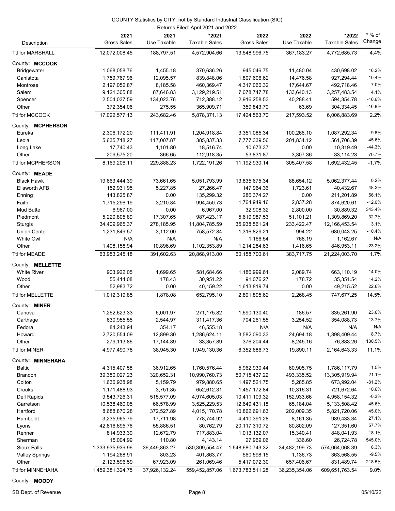| Returns Filed: April 2021 and 2022 |                            |                        |                               |                            |                     |                               |                    |
|------------------------------------|----------------------------|------------------------|-------------------------------|----------------------------|---------------------|-------------------------------|--------------------|
| Description                        | 2021<br><b>Gross Sales</b> | 2021<br>Use Taxable    | *2021<br><b>Taxable Sales</b> | 2022<br><b>Gross Sales</b> | 2022<br>Use Taxable | *2022<br><b>Taxable Sales</b> | $*$ % of<br>Change |
| Ttl for MARSHALL                   | 12,072,008.45              | 188,797.51             | 4,572,904.66                  | 13,548,996.75              | 367,183.27          | 4,772,685.73                  | 4.4%               |
| County: MCCOOK                     |                            |                        |                               |                            |                     |                               |                    |
| <b>Bridgewater</b>                 | 1,068,058.76               | 1,455.18               | 370,636.26                    | 945,046.75                 | 11,480.04           | 430,698.02                    | 16.2%              |
| Canistota                          | 1,759,767.96               | 12,095.57              | 839,848.06                    | 1,807,606.62               | 14,476.58           | 927,294.44                    | 10.4%              |
| Montrose                           | 2,197,052.87               | 8,185.58               | 460,369.47                    | 4,317,060.32               | 17,644.67           | 492,718.46                    | 7.0%               |
| Salem                              | 9,121,305.88               | 87,646.83              | 3,129,219.51                  | 7,078,747.78               | 133,640.13          | 3,257,483.54                  | 4.1%               |
| Spencer                            | 2,504,037.59               | 134,023.76             | 712,388.12                    | 2,916,258.53               | 40,288.41           | 594,354.78                    | $-16.6%$           |
| Other                              | 372,354.06                 | 275.55                 | 365,909.71                    | 359,843.70                 | 63.69               | 304,334.45                    | $-16.8%$           |
| Ttl for MCCOOK                     | 17,022,577.13              | 243,682.46             | 5,878,371.13                  | 17,424,563.70              | 217,593.52          | 6,006,883.69                  | 2.2%               |
| County: MCPHERSON                  |                            |                        |                               |                            |                     |                               |                    |
| Eureka                             | 2,306,172.20               | 111,411.91             | 1,204,918.84                  | 3,351,085.34               | 100,266.10          | 1,087,292.34                  | $-9.8%$            |
| Leola                              | 5,635,718.27               | 117,007.87             | 385,837.33                    | 7,777,339.56               | 201,834.12          | 561,706.39                    | 45.6%              |
| Long Lake                          | 17,740.43                  | 1,101.80               | 18,516.74                     | 10,673.37                  | 0.00                | 10,319.49                     | $-44.3%$           |
| Other                              | 209,575.20                 | 366.65                 | 112,918.35                    | 53,831.87                  | 3,307.36            | 33,114.23                     | $-70.7%$           |
| Ttl for MCPHERSON                  | 8,169,206.11               | 229,888.23             | 1,722,191.26                  | 11,192,930.14              | 305,407.58          | 1,692,432.45                  | $-1.7%$            |
| County: MEADE                      |                            |                        |                               |                            |                     |                               |                    |
| <b>Black Hawk</b>                  | 19,663,444.39              | 73,661.65              | 5,051,793.99                  | 13,835,675.34              | 88,654.12           | 5,062,377.44                  | 0.2%               |
| <b>Ellsworth AFB</b>               | 152,931.95                 | 5,227.85               | 27,266.47                     | 147,964.36                 | 1,723.61            | 40,432.67                     | 48.3%              |
|                                    | 143,825.87                 | 0.00                   | 135,299.32                    | 286,374.27                 | 0.00                |                               | 56.1%              |
| Enning                             |                            |                        |                               |                            |                     | 211,201.89                    | $-12.0%$           |
| Faith                              | 1,715,296.19               | 3,210.84<br>0.00       | 994,450.73                    | 1,764,949.16               | 2,837.28            | 874,620.61                    | 343.4%             |
| <b>Mud Butte</b>                   | 6,967.00                   |                        | 6,967.00                      | 32,908.32                  | 2,800.00            | 30,889.32                     | 32.7%              |
| Piedmont                           | 5,220,805.89               | 17,307.65              | 987,423.17                    | 5,619,987.53               | 51,101.21           | 1,309,869.20                  |                    |
| Sturgis                            | 34,409,965.37              | 278,185.95             | 11,804,785.59                 | 35,938,561.24              | 233,422.47          | 12,166,453.54                 | 3.1%               |
| <b>Union Center</b>                | 1,231,849.57               | 3,112.00               | 758,572.84                    | 1,316,829.21               | 994.22              | 680,043.25                    | $-10.4%$           |
| White Owl                          | N/A                        | N/A                    | N/A                           | 1,166.54                   | 768.19              | 1,162.67                      | N/A                |
| Other                              | 1,408,158.94               | 10,896.69              | 1,102,353.89                  | 1,214,284.63               | 1,416.65            | 846,953.11                    | $-23.2%$           |
| Ttl for MEADE                      | 63,953,245.18              | 391,602.63             | 20,868,913.00                 | 60,158,700.61              | 383,717.75          | 21,224,003.70                 | 1.7%               |
| County: MELLETTE                   |                            |                        |                               |                            |                     |                               |                    |
| <b>White River</b>                 | 903,922.05                 | 1,699.65               | 581,684.66                    | 1,186,999.61               | 2,089.74            | 663,110.19                    | 14.0%              |
| Wood                               | 55,414.08                  | 178.43                 | 30,951.22                     | 91,076.27                  | 178.72              | 35,351.54                     | 14.2%              |
| Other                              | 52,983.72                  | 0.00                   | 40,159.22                     | 1,613,819.74               | 0.00                | 49,215.52                     | 22.6%              |
| Ttl for MELLETTE                   | 1,012,319.85               | 1,878.08               | 652,795.10                    | 2,891,895.62               | 2,268.45            | 747,677.25                    | 14.5%              |
| County: MINER                      |                            |                        |                               |                            |                     |                               |                    |
| Canova                             | 1,262,623.33               | 6,001.97               | 271,175.82                    | 1,690,130.40               | 186.57              | 335,261.90                    | 23.6%              |
| Carthage                           | 630,955.55                 | 2,544.97               | 311,417.36                    | 704,261.55                 | 3,254.52            | 354,088.73                    | 13.7%              |
| Fedora                             | 84,243.94                  | 354.17                 | 46,555.18                     | N/A                        | N/A                 | N/A                           | N/A                |
| Howard                             | 2,720,554.09               | 12,899.30              | 1,286,624.11                  | 3,582,090.33               | 24,694.18           | 1,398,409.44                  | 8.7%               |
| Other                              | 279,113.86                 | 17,144.89<br>38,945.30 | 33,357.89                     | 376,204.44                 | $-8,245.16$         | 76,883.26                     | 130.5%             |
| Ttl for MINER                      | 4,977,490.78               |                        | 1,949,130.36                  | 6,352,686.73               | 19,890.11           | 2,164,643.33                  | 11.1%              |
| County: MINNEHAHA                  |                            |                        |                               |                            |                     |                               |                    |
| <b>Baltic</b>                      | 4,315,407.58               | 36,912.65              | 1,760,576.44                  | 5,962,930.44               | 60,905.75           | 1,786,117.79                  | 1.5%               |
| Brandon                            | 39,350,027.23              | 320,652.31             | 10,990,760.73                 | 50,715,437.22              | 493,335.52          | 13,305,919.94                 | 21.1%              |
| Colton                             | 1,636,938.98               | 5,159.79               | 979,880.65                    | 1,497,521.75               | 5,285.85            | 673,992.04                    | $-31.2%$           |
| Crooks                             | 1,171,488.93               | 3,751.85               | 652,612.31                    | 1,457,172.84               | 10,316.31           | 721,672.64                    | 10.6%              |
| Dell Rapids                        | 9,543,726.31               | 515,577.09             | 4,974,605.03                  | 10,411,109.32              | 152,933.66          | 4,958,154.32                  | $-0.3%$            |
| Garretson                          | 10,538,460.05              | 66,578.99              | 3,525,229.53                  | 12,649,431.18              | 65,184.04           | 5, 133, 508. 42               | 45.6%              |
| Hartford                           | 8,688,870.28               | 372,527.89             | 4,015,170.78                  | 10,862,691.63              | 202,009.35          | 5,821,720.06                  | 45.0%              |
| Humboldt                           | 3,235,965.79               | 17,711.98              | 778,744.92                    | 4,410,391.28               | 8,161.35            | 989,433.34                    | 27.1%              |
| Lyons                              | 42,816,695.76              | 55,886.51              | 80,762.79                     | 20,117,310.72              | 80,802.09           | 127,351.60                    | 57.7%              |
| Renner                             | 814,933.39                 | 12,672.79              | 717,883.04                    | 1,013,132.07               | 15,340.41           | 848,041.93                    | 18.1%              |
| Sherman                            | 15,004.99                  | 110.80                 | 4,143.14                      | 27,969.06                  | 336.60              | 26,724.78                     | 545.0%             |
| Sioux Falls                        | 1,333,935,939.96           | 36,449,863.27          | 530,309,554.47                | 1,548,680,743.32           | 34,482,199.73       | 574,064,068.39                | 8.3%               |
| <b>Valley Springs</b>              | 1,194,268.91               | 803.23                 | 401,863.77                    | 560,598.15                 | 1,136.73            | 363,568.55                    | $-9.5%$            |
| Other                              | 2,123,596.59               | 67,923.09              | 261,069.46                    | 5,417,072.30               | 657,406.67          | 831,489.74                    | 218.5%             |
| Ttl for MINNEHAHA                  | 1,459,381,324.75           | 37,926,132.24          | 559,452,857.06                | 1,673,783,511.28           | 36,235,354.06       | 609,651,763.54                | 9.0%               |

County: **MOODY**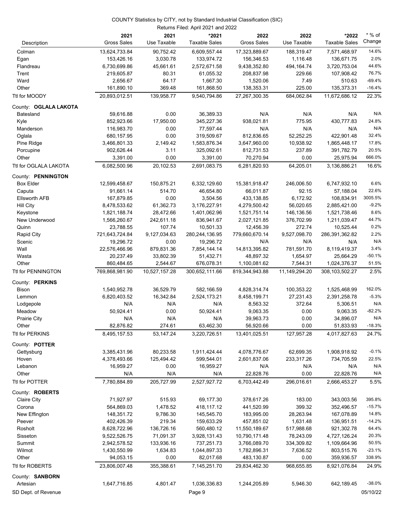#### Returns Filed: April 2021 and 2022 COUNTY Statistics by CITY, not by Standard Industrial Classification (SIC)

| Description                    | 2021<br><b>Gross Sales</b>  | 2021<br>Use Taxable   | *2021<br><b>Taxable Sales</b> | 2022<br><b>Gross Sales</b>  | 2022<br>Use Taxable    | *2022<br><b>Taxable Sales</b> | $*$ % of<br>Change |
|--------------------------------|-----------------------------|-----------------------|-------------------------------|-----------------------------|------------------------|-------------------------------|--------------------|
|                                |                             |                       |                               |                             |                        |                               |                    |
| Colman                         | 13,624,733.84               | 90,752.42             | 6,609,557.44                  | 17,323,889.67               | 188,319.47             | 7,571,468.97                  | 14.6%<br>2.0%      |
| Egan<br>Flandreau              | 153,426.16<br>6,730,699.86  | 3,030.78<br>45,661.61 | 133,974.72<br>2,572,671.58    | 156,346.53<br>9,438,352.80  | 1,116.48<br>494,164.74 | 136,671.75<br>3,720,753.04    | 44.6%              |
| Trent                          | 219,605.87                  | 80.31                 | 61,055.32                     | 208,837.98                  | 229.66                 | 107,908.42                    | 76.7%              |
| Ward                           | 2,656.67                    | 64.17                 | 1,667.30                      | 1,520.06                    | 7.49                   | 510.63                        | $-69.4%$           |
| Other                          | 161,890.10                  | 369.48                | 161,868.50                    | 138,353.31                  | 225.00                 | 135,373.31                    | $-16.4%$           |
| Ttl for MOODY                  | 20,893,012.51               | 139,958.77            | 9,540,794.86                  | 27,267,300.35               | 684,062.84             | 11,672,686.12                 | 22.3%              |
|                                |                             |                       |                               |                             |                        |                               |                    |
| County: OGLALA LAKOTA          |                             |                       |                               |                             |                        |                               |                    |
| Batesland                      | 59,616.88                   | 0.00                  | 36,389.33                     | N/A                         | N/A                    | N/A                           | N/A                |
| Kyle                           | 852,923.66                  | 17,950.00             | 345,227.36                    | 938,021.81                  | 775.95                 | 430,777.83                    | 24.8%<br>N/A       |
| Manderson                      | 116,983.70                  | 0.00                  | 77,597.44                     | N/A                         | N/A                    | N/A                           | 32.4%              |
| Oglala                         | 680,157.95                  | 0.00                  | 319,509.67                    | 812,836.65                  | 52,252.25              | 422,901.48                    | 17.8%              |
| Pine Ridge                     | 3,466,801.33                | 2,149.42              | 1,583,876.34                  | 3,647,960.00                | 10,938.92              | 1,865,448.17                  | 20.5%              |
| Porcupine                      | 902,626.44                  | 3.11<br>0.00          | 325,092.61                    | 812,731.53                  | 237.89                 | 391,782.79                    | 666.0%             |
| Other<br>Ttl for OGLALA LAKOTA | 3,391.00<br>6,082,500.96    | 20,102.53             | 3,391.00<br>2,691,083.75      | 70,270.94<br>6,281,820.93   | 0.00<br>64,205.01      | 25,975.94<br>3,136,886.21     | 16.6%              |
|                                |                             |                       |                               |                             |                        |                               |                    |
| County: PENNINGTON             |                             |                       |                               |                             |                        |                               |                    |
| <b>Box Elder</b>               | 12,599,458.67               | 150,875.21            | 6,332,129.60                  | 15,381,918.47               | 246,006.50             | 6,747,932.10                  | 6.6%               |
| Caputa                         | 91,661.14                   | 514.70                | 46,654.80                     | 66,011.87                   | 92.15                  | 57,188.04                     | 22.6%              |
| <b>Ellsworth AFB</b>           | 167,879.85                  | 0.00                  | 3,504.56                      | 433,138.85                  | 6,172.92               | 108,834.91                    | 3005.5%            |
| Hill City                      | 8,478,533.62                | 61,362.73             | 3,176,227.91                  | 4,279,500.42                | 56,020.65              | 2,885,421.00                  | $-9.2%$<br>8.6%    |
| Keystone                       | 1,821,188.74                | 28,472.66             | 1,401,062.96                  | 1,521,751.14                | 146,136.56             | 1,521,738.46                  | 44.7%              |
| New Underwood                  | 1,566,260.67                | 242,611.18<br>107.74  | 836,941.67                    | 2,027,121.85                | 376,702.99             | 1,211,039.47                  | 0.2%               |
| Quinn                          | 23,788.55<br>721,643,724.84 | 9,127,034.63          | 10,501.33<br>280,244,136.95   | 12,456.39<br>779,660,670.14 | 272.74<br>9,527,098.70 | 10,525.44<br>286,391,362.82   | 2.2%               |
| Rapid City<br>Scenic           | 19,296.72                   | 0.00                  | 19,296.72                     | N/A                         | N/A                    | N/A                           | N/A                |
| Wall                           | 22,576,466.96               | 879,831.36            | 7,854,144.14                  | 14,813,395.82               | 781,591.70             | 8,119,419.37                  | 3.4%               |
| Wasta                          | 20,237.49                   | 33,802.39             | 51,432.71                     | 48,897.32                   | 1,654.97               | 25,664.29                     | $-50.1%$           |
| Other                          | 860,484.65                  | 2,544.67              | 676,078.31                    | 1,100,081.62                | 7,544.31               | 1,024,376.37                  | 51.5%              |
| Ttl for PENNINGTON             | 769,868,981.90              | 10,527,157.28         | 300,652,111.66                | 819,344,943.88              | 11,149,294.20          | 308, 103, 502. 27             | 2.5%               |
| County: PERKINS                |                             |                       |                               |                             |                        |                               |                    |
| Bison                          | 1,540,952.78                | 36,529.79             | 582,166.59                    | 4,828,314.74                | 100,353.22             | 1,525,468.99                  | 162.0%             |
| Lemmon                         | 6,820,403.52                | 16,342.84             | 2,524,173.21                  | 8,458,199.71                | 27,231.43              | 2,391,258.78                  | $-5.3%$            |
| Lodgepole                      | N/A                         | N/A                   | N/A                           | 8,563.32                    | 372.64                 | 5,306.51                      | N/A                |
| Meadow                         | 50,924.41                   | 0.00                  | 50,924.41                     | 9,063.35                    | 0.00                   | 9,063.35                      | $-82.2%$           |
| <b>Prairie City</b>            | N/A                         | N/A                   | N/A                           | 39,963.73                   | 0.00                   | 34,896.07                     | N/A                |
| Other                          | 82,876.82                   | 274.61                | 63,462.30                     | 56,920.66                   | 0.00                   | 51,833.93                     | $-18.3%$           |
| Ttl for PERKINS                | 8,495,157.53                | 53,147.24             | 3,220,726.51                  | 13,401,025.51               | 127,957.28             | 4,017,827.63                  | 24.7%              |
| County: POTTER                 |                             |                       |                               |                             |                        |                               |                    |
| Gettysburg                     | 3,385,431.96                | 80,233.58             | 1,911,424.44                  | 4,078,776.67                | 62,699.35              | 1,908,918.92                  | $-0.1%$            |
| Hoven                          | 4,378,493.66                | 125,494.42            | 599,544.01                    | 2,601,837.06                | 233,317.26             | 734,705.59                    | 22.5%              |
| Lebanon                        | 16,959.27                   | 0.00                  | 16,959.27                     | N/A                         | N/A                    | N/A                           | N/A                |
| Other                          | N/A                         | N/A                   | N/A                           | 22,828.76                   | 0.00                   | 22,828.76                     | N/A                |
| Ttl for POTTER                 | 7,780,884.89                | 205,727.99            | 2,527,927.72                  | 6,703,442.49                | 296,016.61             | 2,666,453.27                  | 5.5%               |
| County: ROBERTS                |                             |                       |                               |                             |                        |                               |                    |
| <b>Claire City</b>             | 71,927.97                   | 515.93                | 69,177.30                     | 378,617.26                  | 183.00                 | 343,003.56                    | 395.8%             |
| Corona                         | 564,869.03                  | 1,478.52              | 418,117.12                    | 441,520.99                  | 399.32                 | 352,496.57                    | $-15.7%$           |
| New Effington                  | 148,351.72                  | 9,786.30              | 145,545.70                    | 183,995.00                  | 28,263.94              | 167,078.89                    | 14.8%              |
| Peever                         | 402,426.39                  | 219.34                | 159,633.29                    | 457,851.02                  | 1,631.48               | 136,951.51                    | $-14.2%$           |
| Rosholt                        | 8,628,722.96                | 136,726.16            | 560,480.12                    | 11,550,189.67               | 517,988.68             | 921,302.78                    | 64.4%              |
| Sisseton                       | 9,522,526.75                | 71,091.37             | 3,928,131.43                  | 10,790,171.48               | 78,243.09              | 4,727,126.24                  | 20.3%              |
| Summit                         | 2,942,578.52                | 133,936.16            | 737,251.73                    | 3,766,089.70                | 334,309.82             | 1,109,664.96                  | 50.5%              |
| Wilmot                         | 1,430,550.99                | 1,634.83              | 1,044,897.33                  | 1,782,896.31                | 7,636.52               | 803,515.76                    | $-23.1%$           |
| Other                          | 94,053.15                   | 0.00                  | 82,017.68                     | 483,130.87                  | 0.00                   | 359,936.57                    | 338.9%             |
| Ttl for ROBERTS                | 23,806,007.48               | 355,388.61            | 7,145,251.70                  | 29,834,462.30               | 968,655.85             | 8,921,076.84                  | 24.9%              |
| County: SANBORN                |                             |                       |                               |                             |                        |                               |                    |
| Artesian                       | 1,647,716.85                | 4,801.47              | 1,036,336.83                  | 1,244,205.89                | 5,946.30               | 642,189.45                    | $-38.0%$           |
| SD Dept. of Revenue            |                             |                       | Page 9                        |                             |                        |                               | 05/10/22           |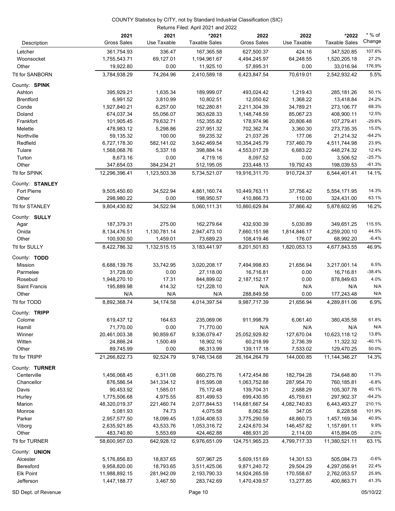#### Returns Filed: April 2021 and 2022 COUNTY Statistics by CITY, not by Standard Industrial Classification (SIC)

|                      | 2021                          | 2021                 | *2021                   | 2022                     | 2022                      | *2022                      | $*$ % of         |
|----------------------|-------------------------------|----------------------|-------------------------|--------------------------|---------------------------|----------------------------|------------------|
| Description          | <b>Gross Sales</b>            | Use Taxable          | <b>Taxable Sales</b>    | <b>Gross Sales</b>       | Use Taxable               | <b>Taxable Sales</b>       | Change           |
| Letcher              | 361,754.93                    | 336.47               | 167,365.58              | 627,500.37               | 424.16                    | 347,520.85                 | 107.6%           |
| Woonsocket           | 1,755,543.71                  | 69,127.01            | 1,194,961.67            | 4,494,245.97             | 64,248.55                 | 1,520,205.18               | 27.2%            |
| Other                | 19,922.80                     | 0.00                 | 11,925.10               | 57,895.31                | 0.00                      | 33,016.94                  | 176.9%           |
| Ttl for SANBORN      | 3,784,938.29                  | 74,264.96            | 2,410,589.18            | 6,423,847.54             | 70,619.01                 | 2,542,932.42               | 5.5%             |
| County: SPINK        |                               |                      |                         |                          |                           |                            |                  |
| Ashton               | 395,929.21                    | 1,635.34             | 189,999.07              | 493,024.42               | 1,219.43                  | 285,181.26                 | 50.1%            |
| <b>Brentford</b>     | 6,991.52                      | 3,810.99             | 10,802.51               | 12,050.62                | 1,368.22                  | 13,418.84                  | 24.2%            |
| Conde                | 1,927,840.21                  | 6,257.00             | 162,280.81              | 2,211,304.39             | 34,789.21                 | 273,106.77                 | 68.3%            |
| Doland               | 674,037.34                    | 55,056.07            | 363,628.33              | 1,148,748.59             | 85,067.23                 | 408,900.11                 | 12.5%            |
| Frankfort            | 101,905.45                    | 79,632.71            | 152,355.82              | 178,974.96               | 20,806.48                 | 107,279.41                 | $-29.6%$         |
| Melette              | 478,983.12                    | 5,298.86             | 237,951.32              | 702,362.74               | 3,360.30                  | 273,735.35                 | 15.0%            |
| Northville           | 59,135.32                     | 100.00               | 59,235.32               | 21,037.26                | 177.06                    | 21,214.32                  | $-64.2%$         |
| Redfield             | 6,727,178.30                  | 582,141.02           | 3,642,469.54            | 10,354,245.79            | 737,460.79                | 4,511,744.98               | 23.9%            |
| Tulare               | 1,568,068.76                  | 5,337.18             | 398,884.14              | 4,553,017.28             | 6,683.22                  | 448,274.32                 | 12.4%            |
| Turton               | 8,673.16                      | 0.00                 | 4,719.16                | 8,097.52                 | 0.00                      | 3,506.52                   | $-25.7%$         |
| Other                | 347,654.03                    | 384,234.21           | 512,195.05              | 233,448.13               | 19,792.43                 | 198,039.53                 | $-61.3%$         |
| Ttl for SPINK        | 12,296,396.41                 | 1,123,503.38         | 5,734,521.07            | 19,916,311.70            | 910,724.37                | 6,544,401.41               | 14.1%            |
| County: STANLEY      |                               |                      |                         |                          |                           |                            |                  |
| <b>Fort Pierre</b>   | 9,505,450.60                  | 34,522.94            | 4,861,160.74            | 10,449,763.11            | 37,756.42                 | 5,554,171.95               | 14.3%            |
| Other                | 298,980.22                    | 0.00                 | 198,950.57              | 410,866.73               | 110.00                    | 324,431.00                 | 63.1%            |
| Ttl for STANLEY      | 9,804,430.82                  | 34,522.94            | 5,060,111.31            | 10.860.629.84            | 37,866.42                 | 5,878,602.95               | 16.2%            |
| County: SULLY        |                               |                      |                         |                          |                           |                            |                  |
| Agar                 | 187,379.31                    | 275.00               | 162,279.64              | 432,930.39               | 5,030.89                  | 349,651.25                 | 115.5%           |
| Onida                | 8,134,476.51                  | 1,130,781.14         | 2,947,473.10            | 7,660,151.98             | 1,814,846.17              | 4,259,200.10               | 44.5%            |
| Other                | 100,930.50                    | 1,459.01             | 73,689.23               | 108,419.46               | 176.07                    | 68,992.20                  | $-6.4%$          |
| Ttl for SULLY        | 8,422,786.32                  | 1,132,515.15         | 3,183,441.97            | 8,201,501.83             | 1,820,053.13              | 4,677,843.55               | 46.9%            |
| County: TODD         |                               |                      |                         |                          |                           |                            |                  |
| Mission              | 6,688,139.76                  | 33,742.95            | 3,020,208.17            | 7,494,998.83             | 21,656.94                 | 3,217,001.14               | 6.5%             |
| Parmelee             | 31,728.00                     | 0.00                 | 27,118.00               | 16,716.81                | 0.00                      | 16,716.81                  | $-38.4%$         |
| Rosebud              | 1,948,270.10                  | 17.31                | 844,899.02              | 2,187,152.17             | 0.00                      | 878,849.63                 | 4.0%             |
| <b>Saint Francis</b> | 195,889.98                    | 414.32               | 121,228.10              | N/A                      | N/A                       | N/A                        | N/A              |
| Other                | N/A                           | N/A                  | N/A                     | 288,849.58               | 0.00                      | 177,243.48                 | N/A              |
| Ttl for TODD         | 8,892,368.74                  | 34,174.58            | 4,014,397.54            | 9,987,717.39             | 21,656.94                 | 4,289,811.06               | 6.9%             |
| County: TRIPP        |                               |                      |                         |                          |                           |                            |                  |
| Colome               | 619,437.12                    | 164.63               | 235,069.06              | 911,998.79               | 6,061.40                  | 380,435.58                 | 61.8%            |
| Hamill               | 71,770.00                     | 0.00                 | 71,770.00               | N/A                      | N/A                       | N/A                        | N/A              |
| Winner               | 20,461,003.38                 | 90,859.67            | 9,336,079.47            | 25,052,929.82            | 127,670.04                | 10,623,118.12              | 13.8%            |
| Witten               | 24,866.24                     | 1,500.49             | 18,902.16               | 60,218.99                | 2,736.39                  | 11,322.32                  | $-40.1%$         |
| Other                | 89,745.99                     | 0.00                 | 86,313.99               | 139,117.18               | 7,533.02                  | 129,470.25                 | 50.0%            |
| Ttl for TRIPP        | 21,266,822.73                 | 92,524.79            | 9,748,134.68            | 26, 164, 264. 79         | 144,000.85                | 11,144,346.27              | 14.3%            |
| County: TURNER       |                               |                      |                         |                          |                           |                            |                  |
| Centerville          | 1,456,068.45                  | 6,311.08             | 660,275.76              | 1,472,454.86             | 182,794.28                | 734,648.80                 | 11.3%            |
| Chancellor           | 876,586.54                    | 341,334.12           | 815,595.08              | 1,063,752.88             | 287,954.70<br>2,688.29    | 760,185.81                 | $-6.8%$<br>40.1% |
| Davis                | 90,453.92                     | 1,585.01<br>4,975.55 | 75,172.48<br>831,499.53 | 139,704.31<br>699,430.95 |                           | 105,307.78                 | $-64.2%$         |
| Hurley<br>Marion     | 1,775,506.68<br>48,320,019.37 | 221,460.74           | 2,077,844.53            | 114,681,667.54           | 45,759.61<br>4,082,740.83 | 297,902.37<br>6,443,493.27 | 210.1%           |
| Monroe               | 5,081.93                      | 74.73                | 4,075.58                | 8,062.56                 | 347.05                    | 8,228.58                   | 101.9%           |
| Parker               | 2,957,577.50                  | 18,099.45            | 1,034,408.53            | 3,775,290.59             | 48,860.73                 | 1,457,169.34               | 40.9%            |
| Viborg               | 2,635,921.85                  | 43,533.76            | 1,053,316.72            | 2,424,670.34             | 146,457.82                | 1,157,691.11               | 9.9%             |
| Other                | 483,740.80                    | 5,553.69             | 424,462.88              | 486,931.20               | 2,114.00                  | 415,894.05                 | $-2.0%$          |
| Ttl for TURNER       | 58,600,957.03                 | 642,928.12           | 6,976,651.09            | 124,751,965.23           | 4,799,717.33              | 11,380,521.11              | 63.1%            |
| County: UNION        |                               |                      |                         |                          |                           |                            |                  |
| Alcester             | 5,176,856.83                  | 18,837.65            | 507,967.25              | 5,609,151.69             | 14,301.53                 | 505,084.73                 | $-0.6%$          |
| Beresford            | 9,958,820.00                  | 18,793.65            | 3,511,425.06            | 9,871,240.72             | 29,504.29                 | 4,297,056.91               | 22.4%            |
| Elk Point            | 11,988,892.15                 | 281,942.09           | 2,193,790.33            | 14,924,265.59            | 170,558.67                | 2,762,053.57               | 25.9%            |
| Jefferson            | 1,447,188.77                  | 3,467.50             | 283,742.69              | 1,470,439.57             | 13,277.85                 | 400,863.71                 | 41.3%            |